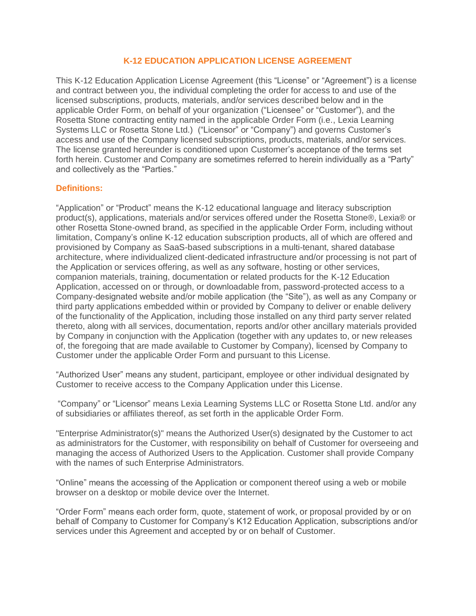## **K-12 EDUCATION APPLICATION LICENSE AGREEMENT**

This K-12 Education Application License Agreement (this "License" or "Agreement") is a license and contract between you, the individual completing the order for access to and use of the licensed subscriptions, products, materials, and/or services described below and in the applicable Order Form, on behalf of your organization ("Licensee" or "Customer"), and the Rosetta Stone contracting entity named in the applicable Order Form (i.e., Lexia Learning Systems LLC or Rosetta Stone Ltd.) ("Licensor" or "Company") and governs Customer's access and use of the Company licensed subscriptions, products, materials, and/or services. The license granted hereunder is conditioned upon Customer's acceptance of the terms set forth herein. Customer and Company are sometimes referred to herein individually as a "Party" and collectively as the "Parties."

#### **Definitions:**

"Application" or "Product" means the K-12 educational language and literacy subscription product(s), applications, materials and/or services offered under the Rosetta Stone®, Lexia® or other Rosetta Stone-owned brand, as specified in the applicable Order Form, including without limitation, Company's online K-12 education subscription products, all of which are offered and provisioned by Company as SaaS-based subscriptions in a multi-tenant, shared database architecture, where individualized client-dedicated infrastructure and/or processing is not part of the Application or services offering, as well as any software, hosting or other services, companion materials, training, documentation or related products for the K-12 Education Application, accessed on or through, or downloadable from, password-protected access to a Company-designated website and/or mobile application (the "Site"), as well as any Company or third party applications embedded within or provided by Company to deliver or enable delivery of the functionality of the Application, including those installed on any third party server related thereto, along with all services, documentation, reports and/or other ancillary materials provided by Company in conjunction with the Application (together with any updates to, or new releases of, the foregoing that are made available to Customer by Company), licensed by Company to Customer under the applicable Order Form and pursuant to this License.

"Authorized User" means any student, participant, employee or other individual designated by Customer to receive access to the Company Application under this License.

"Company" or "Licensor" means Lexia Learning Systems LLC or Rosetta Stone Ltd. and/or any of subsidiaries or affiliates thereof, as set forth in the applicable Order Form.

"Enterprise Administrator(s)" means the Authorized User(s) designated by the Customer to act as administrators for the Customer, with responsibility on behalf of Customer for overseeing and managing the access of Authorized Users to the Application. Customer shall provide Company with the names of such Enterprise Administrators.

"Online" means the accessing of the Application or component thereof using a web or mobile browser on a desktop or mobile device over the Internet.

"Order Form" means each order form, quote, statement of work, or proposal provided by or on behalf of Company to Customer for Company's K12 Education Application, subscriptions and/or services under this Agreement and accepted by or on behalf of Customer.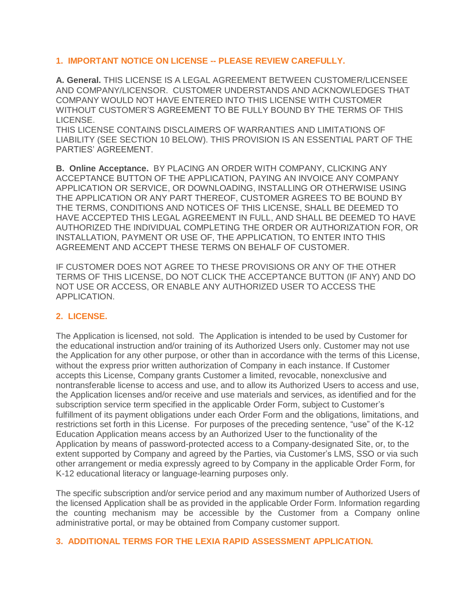## **1. IMPORTANT NOTICE ON LICENSE -- PLEASE REVIEW CAREFULLY.**

**A. General.** THIS LICENSE IS A LEGAL AGREEMENT BETWEEN CUSTOMER/LICENSEE AND COMPANY/LICENSOR. CUSTOMER UNDERSTANDS AND ACKNOWLEDGES THAT COMPANY WOULD NOT HAVE ENTERED INTO THIS LICENSE WITH CUSTOMER WITHOUT CUSTOMER'S AGREEMENT TO BE FULLY BOUND BY THE TERMS OF THIS LICENSE.

THIS LICENSE CONTAINS DISCLAIMERS OF WARRANTIES AND LIMITATIONS OF LIABILITY (SEE SECTION 10 BELOW). THIS PROVISION IS AN ESSENTIAL PART OF THE PARTIES' AGREEMENT.

**B. Online Acceptance.** BY PLACING AN ORDER WITH COMPANY, CLICKING ANY ACCEPTANCE BUTTON OF THE APPLICATION, PAYING AN INVOICE ANY COMPANY APPLICATION OR SERVICE, OR DOWNLOADING, INSTALLING OR OTHERWISE USING THE APPLICATION OR ANY PART THEREOF, CUSTOMER AGREES TO BE BOUND BY THE TERMS, CONDITIONS AND NOTICES OF THIS LICENSE, SHALL BE DEEMED TO HAVE ACCEPTED THIS LEGAL AGREEMENT IN FULL, AND SHALL BE DEEMED TO HAVE AUTHORIZED THE INDIVIDUAL COMPLETING THE ORDER OR AUTHORIZATION FOR, OR INSTALLATION, PAYMENT OR USE OF, THE APPLICATION, TO ENTER INTO THIS AGREEMENT AND ACCEPT THESE TERMS ON BEHALF OF CUSTOMER.

IF CUSTOMER DOES NOT AGREE TO THESE PROVISIONS OR ANY OF THE OTHER TERMS OF THIS LICENSE, DO NOT CLICK THE ACCEPTANCE BUTTON (IF ANY) AND DO NOT USE OR ACCESS, OR ENABLE ANY AUTHORIZED USER TO ACCESS THE APPLICATION.

## **2. LICENSE.**

The Application is licensed, not sold. The Application is intended to be used by Customer for the educational instruction and/or training of its Authorized Users only. Customer may not use the Application for any other purpose, or other than in accordance with the terms of this License, without the express prior written authorization of Company in each instance. If Customer accepts this License, Company grants Customer a limited, revocable, nonexclusive and nontransferable license to access and use, and to allow its Authorized Users to access and use, the Application licenses and/or receive and use materials and services, as identified and for the subscription service term specified in the applicable Order Form, subject to Customer's fulfillment of its payment obligations under each Order Form and the obligations, limitations, and restrictions set forth in this License. For purposes of the preceding sentence, "use" of the K-12 Education Application means access by an Authorized User to the functionality of the Application by means of password-protected access to a Company-designated Site, or, to the extent supported by Company and agreed by the Parties, via Customer's LMS, SSO or via such other arrangement or media expressly agreed to by Company in the applicable Order Form, for K-12 educational literacy or language-learning purposes only.

The specific subscription and/or service period and any maximum number of Authorized Users of the licensed Application shall be as provided in the applicable Order Form. Information regarding the counting mechanism may be accessible by the Customer from a Company online administrative portal, or may be obtained from Company customer support.

## **3. ADDITIONAL TERMS FOR THE LEXIA RAPID ASSESSMENT APPLICATION.**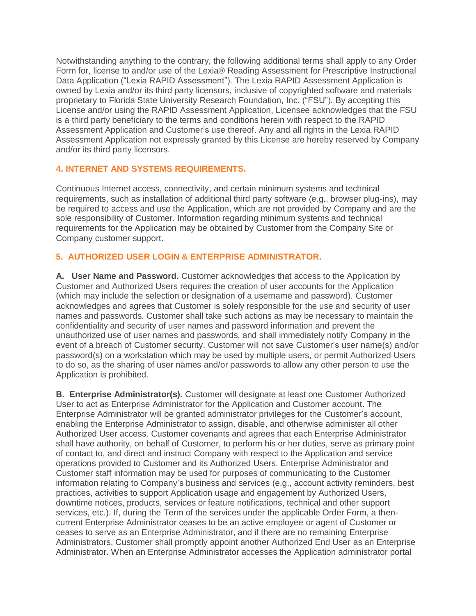Notwithstanding anything to the contrary, the following additional terms shall apply to any Order Form for, license to and/or use of the Lexia® Reading Assessment for Prescriptive Instructional Data Application ("Lexia RAPID Assessment"). The Lexia RAPID Assessment Application is owned by Lexia and/or its third party licensors, inclusive of copyrighted software and materials proprietary to Florida State University Research Foundation, Inc. ("FSU"). By accepting this License and/or using the RAPID Assessment Application, Licensee acknowledges that the FSU is a third party beneficiary to the terms and conditions herein with respect to the RAPID Assessment Application and Customer's use thereof. Any and all rights in the Lexia RAPID Assessment Application not expressly granted by this License are hereby reserved by Company and/or its third party licensors.

## **4. INTERNET AND SYSTEMS REQUIREMENTS.**

Continuous Internet access, connectivity, and certain minimum systems and technical requirements, such as installation of additional third party software (e.g., browser plug-ins), may be required to access and use the Application, which are not provided by Company and are the sole responsibility of Customer. Information regarding minimum systems and technical requirements for the Application may be obtained by Customer from the Company Site or Company customer support.

# **5. AUTHORIZED USER LOGIN & ENTERPRISE ADMINISTRATOR.**

**A. User Name and Password.** Customer acknowledges that access to the Application by Customer and Authorized Users requires the creation of user accounts for the Application (which may include the selection or designation of a username and password). Customer acknowledges and agrees that Customer is solely responsible for the use and security of user names and passwords. Customer shall take such actions as may be necessary to maintain the confidentiality and security of user names and password information and prevent the unauthorized use of user names and passwords, and shall immediately notify Company in the event of a breach of Customer security. Customer will not save Customer's user name(s) and/or password(s) on a workstation which may be used by multiple users, or permit Authorized Users to do so, as the sharing of user names and/or passwords to allow any other person to use the Application is prohibited.

**B. Enterprise Administrator(s).** Customer will designate at least one Customer Authorized User to act as Enterprise Administrator for the Application and Customer account. The Enterprise Administrator will be granted administrator privileges for the Customer's account, enabling the Enterprise Administrator to assign, disable, and otherwise administer all other Authorized User access. Customer covenants and agrees that each Enterprise Administrator shall have authority, on behalf of Customer, to perform his or her duties, serve as primary point of contact to, and direct and instruct Company with respect to the Application and service operations provided to Customer and its Authorized Users. Enterprise Administrator and Customer staff information may be used for purposes of communicating to the Customer information relating to Company's business and services (e.g., account activity reminders, best practices, activities to support Application usage and engagement by Authorized Users, downtime notices, products, services or feature notifications, technical and other support services, etc.). If, during the Term of the services under the applicable Order Form, a thencurrent Enterprise Administrator ceases to be an active employee or agent of Customer or ceases to serve as an Enterprise Administrator, and if there are no remaining Enterprise Administrators, Customer shall promptly appoint another Authorized End User as an Enterprise Administrator. When an Enterprise Administrator accesses the Application administrator portal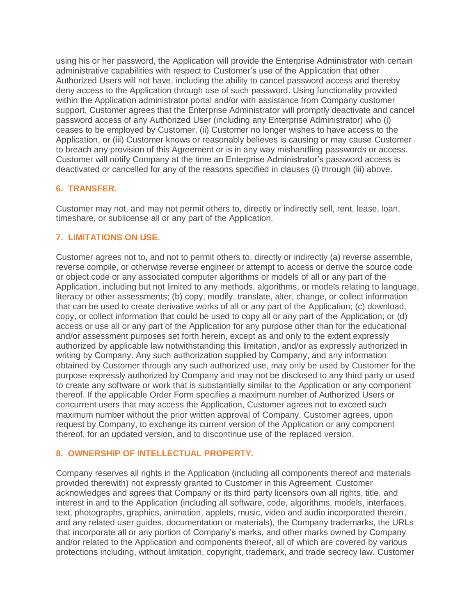using his or her password, the Application will provide the Enterprise Administrator with certain administrative capabilities with respect to Customer's use of the Application that other Authorized Users will not have, including the ability to cancel password access and thereby deny access to the Application through use of such password. Using functionality provided within the Application administrator portal and/or with assistance from Company customer support, Customer agrees that the Enterprise Administrator will promptly deactivate and cancel password access of any Authorized User (including any Enterprise Administrator) who (i) ceases to be employed by Customer, (ii) Customer no longer wishes to have access to the Application, or (iii) Customer knows or reasonably believes is causing or may cause Customer to breach any provision of this Agreement or is in any way mishandling passwords or access. Customer will notify Company at the time an Enterprise Administrator's password access is deactivated or cancelled for any of the reasons specified in clauses (i) through (iii) above.

## **6. TRANSFER.**

Customer may not, and may not permit others to, directly or indirectly sell, rent, lease, loan, timeshare, or sublicense all or any part of the Application.

## **7. LIMITATIONS ON USE.**

Customer agrees not to, and not to permit others to, directly or indirectly (a) reverse assemble, reverse compile, or otherwise reverse engineer or attempt to access or derive the source code or object code or any associated computer algorithms or models of all or any part of the Application, including but not limited to any methods, algorithms, or models relating to language, literacy or other assessments; (b) copy, modify, translate, alter, change, or collect information that can be used to create derivative works of all or any part of the Application; (c) download, copy, or collect information that could be used to copy all or any part of the Application; or (d) access or use all or any part of the Application for any purpose other than for the educational and/or assessment purposes set forth herein, except as and only to the extent expressly authorized by applicable law notwithstanding this limitation, and/or as expressly authorized in writing by Company. Any such authorization supplied by Company, and any information obtained by Customer through any such authorized use, may only be used by Customer for the purpose expressly authorized by Company and may not be disclosed to any third party or used to create any software or work that is substantially similar to the Application or any component thereof. If the applicable Order Form specifies a maximum number of Authorized Users or concurrent users that may access the Application, Customer agrees not to exceed such maximum number without the prior written approval of Company. Customer agrees, upon request by Company, to exchange its current version of the Application or any component thereof, for an updated version, and to discontinue use of the replaced version.

## **8. OWNERSHIP OF INTELLECTUAL PROPERTY.**

Company reserves all rights in the Application (including all components thereof and materials provided therewith) not expressly granted to Customer in this Agreement. Customer acknowledges and agrees that Company or its third party licensors own all rights, title, and interest in and to the Application (including all software, code, algorithms, models, interfaces, text, photographs, graphics, animation, applets, music, video and audio incorporated therein, and any related user guides, documentation or materials), the Company trademarks, the URLs that incorporate all or any portion of Company's marks, and other marks owned by Company and/or related to the Application and components thereof, all of which are covered by various protections including, without limitation, copyright, trademark, and trade secrecy law. Customer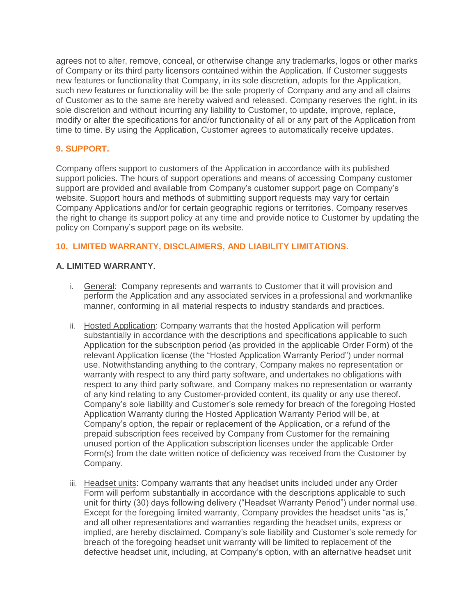agrees not to alter, remove, conceal, or otherwise change any trademarks, logos or other marks of Company or its third party licensors contained within the Application. If Customer suggests new features or functionality that Company, in its sole discretion, adopts for the Application, such new features or functionality will be the sole property of Company and any and all claims of Customer as to the same are hereby waived and released. Company reserves the right, in its sole discretion and without incurring any liability to Customer, to update, improve, replace, modify or alter the specifications for and/or functionality of all or any part of the Application from time to time. By using the Application, Customer agrees to automatically receive updates.

## **9. SUPPORT.**

Company offers support to customers of the Application in accordance with its published support policies. The hours of support operations and means of accessing Company customer support are provided and available from Company's customer support page on Company's website. Support hours and methods of submitting support requests may vary for certain Company Applications and/or for certain geographic regions or territories. Company reserves the right to change its support policy at any time and provide notice to Customer by updating the policy on Company's support page on its website.

## **10. LIMITED WARRANTY, DISCLAIMERS, AND LIABILITY LIMITATIONS.**

## **A. LIMITED WARRANTY.**

- i. General: Company represents and warrants to Customer that it will provision and perform the Application and any associated services in a professional and workmanlike manner, conforming in all material respects to industry standards and practices.
- ii. Hosted Application: Company warrants that the hosted Application will perform substantially in accordance with the descriptions and specifications applicable to such Application for the subscription period (as provided in the applicable Order Form) of the relevant Application license (the "Hosted Application Warranty Period") under normal use. Notwithstanding anything to the contrary, Company makes no representation or warranty with respect to any third party software, and undertakes no obligations with respect to any third party software, and Company makes no representation or warranty of any kind relating to any Customer-provided content, its quality or any use thereof. Company's sole liability and Customer's sole remedy for breach of the foregoing Hosted Application Warranty during the Hosted Application Warranty Period will be, at Company's option, the repair or replacement of the Application, or a refund of the prepaid subscription fees received by Company from Customer for the remaining unused portion of the Application subscription licenses under the applicable Order Form(s) from the date written notice of deficiency was received from the Customer by Company.
- iii. Headset units: Company warrants that any headset units included under any Order Form will perform substantially in accordance with the descriptions applicable to such unit for thirty (30) days following delivery ("Headset Warranty Period") under normal use. Except for the foregoing limited warranty, Company provides the headset units "as is," and all other representations and warranties regarding the headset units, express or implied, are hereby disclaimed. Company's sole liability and Customer's sole remedy for breach of the foregoing headset unit warranty will be limited to replacement of the defective headset unit, including, at Company's option, with an alternative headset unit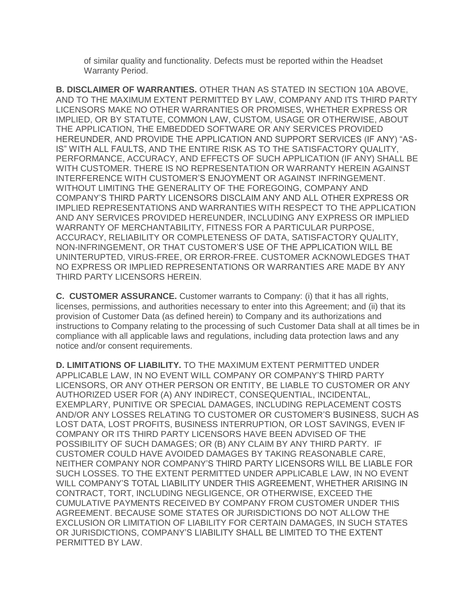of similar quality and functionality. Defects must be reported within the Headset Warranty Period.

**B. DISCLAIMER OF WARRANTIES.** OTHER THAN AS STATED IN SECTION 10A ABOVE, AND TO THE MAXIMUM EXTENT PERMITTED BY LAW, COMPANY AND ITS THIRD PARTY LICENSORS MAKE NO OTHER WARRANTIES OR PROMISES, WHETHER EXPRESS OR IMPLIED, OR BY STATUTE, COMMON LAW, CUSTOM, USAGE OR OTHERWISE, ABOUT THE APPLICATION, THE EMBEDDED SOFTWARE OR ANY SERVICES PROVIDED HEREUNDER, AND PROVIDE THE APPLICATION AND SUPPORT SERVICES (IF ANY) "AS-IS" WITH ALL FAULTS, AND THE ENTIRE RISK AS TO THE SATISFACTORY QUALITY, PERFORMANCE, ACCURACY, AND EFFECTS OF SUCH APPLICATION (IF ANY) SHALL BE WITH CUSTOMER. THERE IS NO REPRESENTATION OR WARRANTY HEREIN AGAINST INTERFERENCE WITH CUSTOMER'S ENJOYMENT OR AGAINST INFRINGEMENT. WITHOUT LIMITING THE GENERALITY OF THE FOREGOING, COMPANY AND COMPANY'S THIRD PARTY LICENSORS DISCLAIM ANY AND ALL OTHER EXPRESS OR IMPLIED REPRESENTATIONS AND WARRANTIES WITH RESPECT TO THE APPLICATION AND ANY SERVICES PROVIDED HEREUNDER, INCLUDING ANY EXPRESS OR IMPLIED WARRANTY OF MERCHANTABILITY, FITNESS FOR A PARTICULAR PURPOSE, ACCURACY, RELIABILITY OR COMPLETENESS OF DATA, SATISFACTORY QUALITY, NON-INFRINGEMENT, OR THAT CUSTOMER'S USE OF THE APPLICATION WILL BE UNINTERUPTED, VIRUS-FREE, OR ERROR-FREE. CUSTOMER ACKNOWLEDGES THAT NO EXPRESS OR IMPLIED REPRESENTATIONS OR WARRANTIES ARE MADE BY ANY THIRD PARTY LICENSORS HEREIN.

**C. CUSTOMER ASSURANCE.** Customer warrants to Company: (i) that it has all rights, licenses, permissions, and authorities necessary to enter into this Agreement; and (ii) that its provision of Customer Data (as defined herein) to Company and its authorizations and instructions to Company relating to the processing of such Customer Data shall at all times be in compliance with all applicable laws and regulations, including data protection laws and any notice and/or consent requirements.

**D. LIMITATIONS OF LIABILITY.** TO THE MAXIMUM EXTENT PERMITTED UNDER APPLICABLE LAW, IN NO EVENT WILL COMPANY OR COMPANY'S THIRD PARTY LICENSORS, OR ANY OTHER PERSON OR ENTITY, BE LIABLE TO CUSTOMER OR ANY AUTHORIZED USER FOR (A) ANY INDIRECT, CONSEQUENTIAL, INCIDENTAL, EXEMPLARY, PUNITIVE OR SPECIAL DAMAGES, INCLUDING REPLACEMENT COSTS AND/OR ANY LOSSES RELATING TO CUSTOMER OR CUSTOMER'S BUSINESS, SUCH AS LOST DATA, LOST PROFITS, BUSINESS INTERRUPTION, OR LOST SAVINGS, EVEN IF COMPANY OR ITS THIRD PARTY LICENSORS HAVE BEEN ADVISED OF THE POSSIBILITY OF SUCH DAMAGES; OR (B) ANY CLAIM BY ANY THIRD PARTY. IF CUSTOMER COULD HAVE AVOIDED DAMAGES BY TAKING REASONABLE CARE, NEITHER COMPANY NOR COMPANY'S THIRD PARTY LICENSORS WILL BE LIABLE FOR SUCH LOSSES. TO THE EXTENT PERMITTED UNDER APPLICABLE LAW, IN NO EVENT WILL COMPANY'S TOTAL LIABILITY UNDER THIS AGREEMENT, WHETHER ARISING IN CONTRACT, TORT, INCLUDING NEGLIGENCE, OR OTHERWISE, EXCEED THE CUMULATIVE PAYMENTS RECEIVED BY COMPANY FROM CUSTOMER UNDER THIS AGREEMENT. BECAUSE SOME STATES OR JURISDICTIONS DO NOT ALLOW THE EXCLUSION OR LIMITATION OF LIABILITY FOR CERTAIN DAMAGES, IN SUCH STATES OR JURISDICTIONS, COMPANY'S LIABILITY SHALL BE LIMITED TO THE EXTENT PERMITTED BY LAW.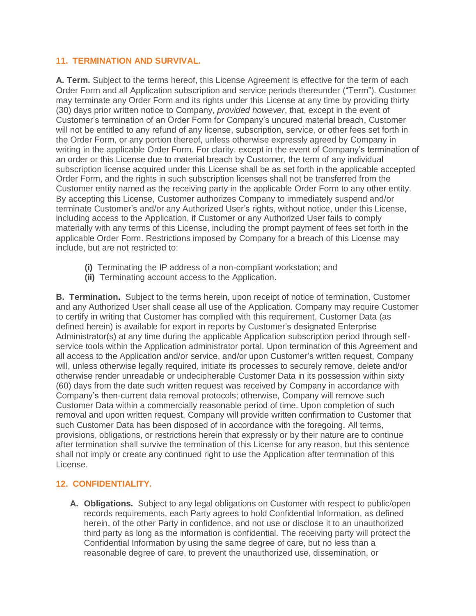## **11. TERMINATION AND SURVIVAL.**

**A. Term.** Subject to the terms hereof, this License Agreement is effective for the term of each Order Form and all Application subscription and service periods thereunder ("Term"). Customer may terminate any Order Form and its rights under this License at any time by providing thirty (30) days prior written notice to Company, *provided however*, that, except in the event of Customer's termination of an Order Form for Company's uncured material breach, Customer will not be entitled to any refund of any license, subscription, service, or other fees set forth in the Order Form, or any portion thereof, unless otherwise expressly agreed by Company in writing in the applicable Order Form. For clarity, except in the event of Company's termination of an order or this License due to material breach by Customer, the term of any individual subscription license acquired under this License shall be as set forth in the applicable accepted Order Form, and the rights in such subscription licenses shall not be transferred from the Customer entity named as the receiving party in the applicable Order Form to any other entity. By accepting this License, Customer authorizes Company to immediately suspend and/or terminate Customer's and/or any Authorized User's rights, without notice, under this License, including access to the Application, if Customer or any Authorized User fails to comply materially with any terms of this License, including the prompt payment of fees set forth in the applicable Order Form. Restrictions imposed by Company for a breach of this License may include, but are not restricted to:

- **(i)** Terminating the IP address of a non-compliant workstation; and
- **(ii)** Terminating account access to the Application.

**B. Termination.** Subject to the terms herein, upon receipt of notice of termination, Customer and any Authorized User shall cease all use of the Application. Company may require Customer to certify in writing that Customer has complied with this requirement. Customer Data (as defined herein) is available for export in reports by Customer's designated Enterprise Administrator(s) at any time during the applicable Application subscription period through selfservice tools within the Application administrator portal. Upon termination of this Agreement and all access to the Application and/or service, and/or upon Customer's written request, Company will, unless otherwise legally required, initiate its processes to securely remove, delete and/or otherwise render unreadable or undecipherable Customer Data in its possession within sixty (60) days from the date such written request was received by Company in accordance with Company's then-current data removal protocols; otherwise, Company will remove such Customer Data within a commercially reasonable period of time. Upon completion of such removal and upon written request, Company will provide written confirmation to Customer that such Customer Data has been disposed of in accordance with the foregoing. All terms, provisions, obligations, or restrictions herein that expressly or by their nature are to continue after termination shall survive the termination of this License for any reason, but this sentence shall not imply or create any continued right to use the Application after termination of this License.

# **12. CONFIDENTIALITY.**

**A. Obligations.** Subject to any legal obligations on Customer with respect to public/open records requirements, each Party agrees to hold Confidential Information, as defined herein, of the other Party in confidence, and not use or disclose it to an unauthorized third party as long as the information is confidential. The receiving party will protect the Confidential Information by using the same degree of care, but no less than a reasonable degree of care, to prevent the unauthorized use, dissemination, or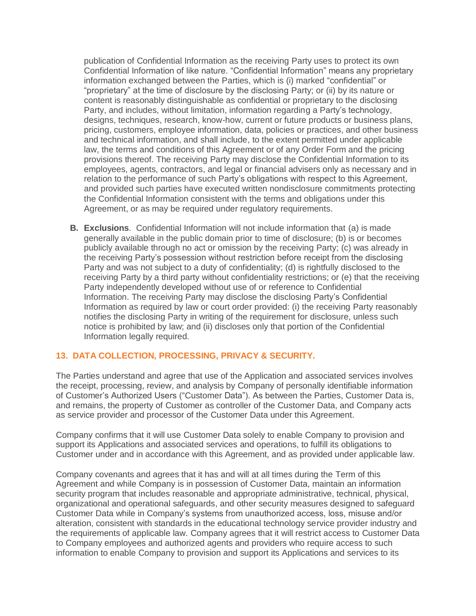publication of Confidential Information as the receiving Party uses to protect its own Confidential Information of like nature. "Confidential Information" means any proprietary information exchanged between the Parties, which is (i) marked "confidential" or "proprietary" at the time of disclosure by the disclosing Party; or (ii) by its nature or content is reasonably distinguishable as confidential or proprietary to the disclosing Party, and includes, without limitation, information regarding a Party's technology, designs, techniques, research, know-how, current or future products or business plans, pricing, customers, employee information, data, policies or practices, and other business and technical information, and shall include, to the extent permitted under applicable law, the terms and conditions of this Agreement or of any Order Form and the pricing provisions thereof. The receiving Party may disclose the Confidential Information to its employees, agents, contractors, and legal or financial advisers only as necessary and in relation to the performance of such Party's obligations with respect to this Agreement, and provided such parties have executed written nondisclosure commitments protecting the Confidential Information consistent with the terms and obligations under this Agreement, or as may be required under regulatory requirements.

**B. Exclusions**. Confidential Information will not include information that (a) is made generally available in the public domain prior to time of disclosure; (b) is or becomes publicly available through no act or omission by the receiving Party; (c) was already in the receiving Party's possession without restriction before receipt from the disclosing Party and was not subject to a duty of confidentiality; (d) is rightfully disclosed to the receiving Party by a third party without confidentiality restrictions; or (e) that the receiving Party independently developed without use of or reference to Confidential Information. The receiving Party may disclose the disclosing Party's Confidential Information as required by law or court order provided: (i) the receiving Party reasonably notifies the disclosing Party in writing of the requirement for disclosure, unless such notice is prohibited by law; and (ii) discloses only that portion of the Confidential Information legally required.

## **13. DATA COLLECTION, PROCESSING, PRIVACY & SECURITY.**

The Parties understand and agree that use of the Application and associated services involves the receipt, processing, review, and analysis by Company of personally identifiable information of Customer's Authorized Users ("Customer Data"). As between the Parties, Customer Data is, and remains, the property of Customer as controller of the Customer Data, and Company acts as service provider and processor of the Customer Data under this Agreement.

Company confirms that it will use Customer Data solely to enable Company to provision and support its Applications and associated services and operations, to fulfill its obligations to Customer under and in accordance with this Agreement, and as provided under applicable law.

Company covenants and agrees that it has and will at all times during the Term of this Agreement and while Company is in possession of Customer Data, maintain an information security program that includes reasonable and appropriate administrative, technical, physical, organizational and operational safeguards, and other security measures designed to safeguard Customer Data while in Company's systems from unauthorized access, loss, misuse and/or alteration, consistent with standards in the educational technology service provider industry and the requirements of applicable law. Company agrees that it will restrict access to Customer Data to Company employees and authorized agents and providers who require access to such information to enable Company to provision and support its Applications and services to its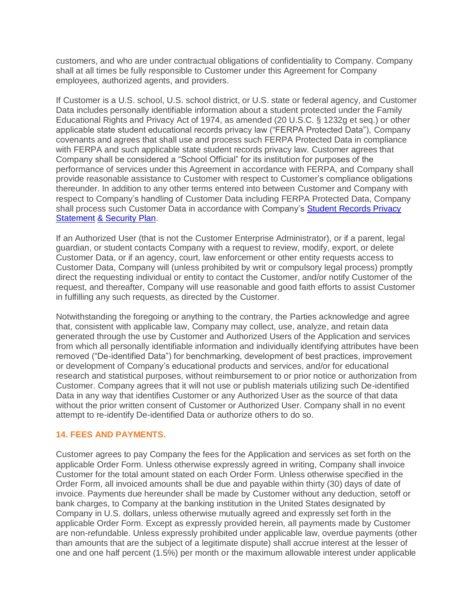customers, and who are under contractual obligations of confidentiality to Company. Company shall at all times be fully responsible to Customer under this Agreement for Company employees, authorized agents, and providers.

If Customer is a U.S. school, U.S. school district, or U.S. state or federal agency, and Customer Data includes personally identifiable information about a student protected under the Family Educational Rights and Privacy Act of 1974, as amended (20 U.S.C. § 1232g et seq.) or other applicable state student educational records privacy law ("FERPA Protected Data"), Company covenants and agrees that shall use and process such FERPA Protected Data in compliance with FERPA and such applicable state student records privacy law. Customer agrees that Company shall be considered a "School Official" for its institution for purposes of the performance of services under this Agreement in accordance with FERPA, and Company shall provide reasonable assistance to Customer with respect to Customer's compliance obligations thereunder. In addition to any other terms entered into between Customer and Company with respect to Company's handling of Customer Data including FERPA Protected Data, Company shall process such Customer Data in accordance with Company's [Student Records Privacy](http://www.lexialearning.com/privacy/student-records-privacy-statement-security-plan) [Statement](http://www.lexialearning.com/privacy/student-records-privacy-statement-security-plan) & [Security Plan.](https://www.rosettastone.com/student-records)

If an Authorized User (that is not the Customer Enterprise Administrator), or if a parent, legal guardian, or student contacts Company with a request to review, modify, export, or delete Customer Data, or if an agency, court, law enforcement or other entity requests access to Customer Data, Company will (unless prohibited by writ or compulsory legal process) promptly direct the requesting individual or entity to contact the Customer, and/or notify Customer of the request, and thereafter, Company will use reasonable and good faith efforts to assist Customer in fulfilling any such requests, as directed by the Customer.

Notwithstanding the foregoing or anything to the contrary, the Parties acknowledge and agree that, consistent with applicable law, Company may collect, use, analyze, and retain data generated through the use by Customer and Authorized Users of the Application and services from which all personally identifiable information and individually identifying attributes have been removed ("De-identified Data") for benchmarking, development of best practices, improvement or development of Company's educational products and services, and/or for educational research and statistical purposes, without reimbursement to or prior notice or authorization from Customer. Company agrees that it will not use or publish materials utilizing such De-identified Data in any way that identifies Customer or any Authorized User as the source of that data without the prior written consent of Customer or Authorized User. Company shall in no event attempt to re-identify De-identified Data or authorize others to do so.

## **14. FEES AND PAYMENTS.**

Customer agrees to pay Company the fees for the Application and services as set forth on the applicable Order Form. Unless otherwise expressly agreed in writing, Company shall invoice Customer for the total amount stated on each Order Form. Unless otherwise specified in the Order Form, all invoiced amounts shall be due and payable within thirty (30) days of date of invoice. Payments due hereunder shall be made by Customer without any deduction, setoff or bank charges, to Company at the banking institution in the United States designated by Company in U.S. dollars, unless otherwise mutually agreed and expressly set forth in the applicable Order Form. Except as expressly provided herein, all payments made by Customer are non-refundable. Unless expressly prohibited under applicable law, overdue payments (other than amounts that are the subject of a legitimate dispute) shall accrue interest at the lesser of one and one half percent (1.5%) per month or the maximum allowable interest under applicable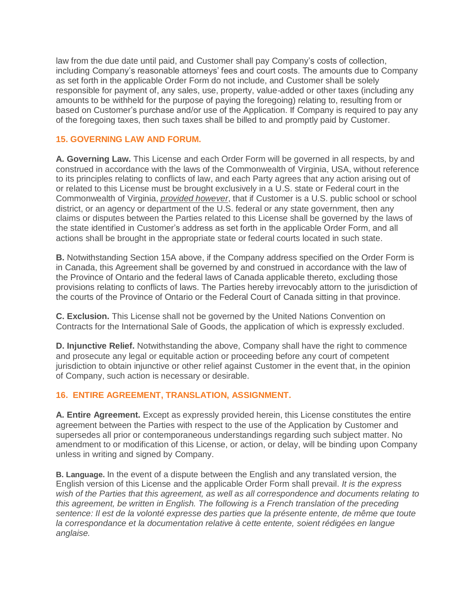law from the due date until paid, and Customer shall pay Company's costs of collection, including Company's reasonable attorneys' fees and court costs. The amounts due to Company as set forth in the applicable Order Form do not include, and Customer shall be solely responsible for payment of, any sales, use, property, value-added or other taxes (including any amounts to be withheld for the purpose of paying the foregoing) relating to, resulting from or based on Customer's purchase and/or use of the Application. If Company is required to pay any of the foregoing taxes, then such taxes shall be billed to and promptly paid by Customer.

## **15. GOVERNING LAW AND FORUM.**

**A. Governing Law.** This License and each Order Form will be governed in all respects, by and construed in accordance with the laws of the Commonwealth of Virginia, USA, without reference to its principles relating to conflicts of law, and each Party agrees that any action arising out of or related to this License must be brought exclusively in a U.S. state or Federal court in the Commonwealth of Virginia, *provided however*, that if Customer is a U.S. public school or school district, or an agency or department of the U.S. federal or any state government, then any claims or disputes between the Parties related to this License shall be governed by the laws of the state identified in Customer's address as set forth in the applicable Order Form, and all actions shall be brought in the appropriate state or federal courts located in such state.

**B.** Notwithstanding Section 15A above, if the Company address specified on the Order Form is in Canada, this Agreement shall be governed by and construed in accordance with the law of the Province of Ontario and the federal laws of Canada applicable thereto, excluding those provisions relating to conflicts of laws. The Parties hereby irrevocably attorn to the jurisdiction of the courts of the Province of Ontario or the Federal Court of Canada sitting in that province.

**C. Exclusion.** This License shall not be governed by the United Nations Convention on Contracts for the International Sale of Goods, the application of which is expressly excluded.

**D. Injunctive Relief.** Notwithstanding the above, Company shall have the right to commence and prosecute any legal or equitable action or proceeding before any court of competent jurisdiction to obtain injunctive or other relief against Customer in the event that, in the opinion of Company, such action is necessary or desirable.

# **16. ENTIRE AGREEMENT, TRANSLATION, ASSIGNMENT.**

**A. Entire Agreement.** Except as expressly provided herein, this License constitutes the entire agreement between the Parties with respect to the use of the Application by Customer and supersedes all prior or contemporaneous understandings regarding such subject matter. No amendment to or modification of this License, or action, or delay, will be binding upon Company unless in writing and signed by Company.

**B. Language.** In the event of a dispute between the English and any translated version, the English version of this License and the applicable Order Form shall prevail. *It is the express wish of the Parties that this agreement, as well as all correspondence and documents relating to this agreement, be written in English. The following is a French translation of the preceding sentence: Il est de la volonté expresse des parties que la présente entente, de même que toute*  la correspondance et la documentation relative à cette entente, soient rédigées en langue *anglaise.*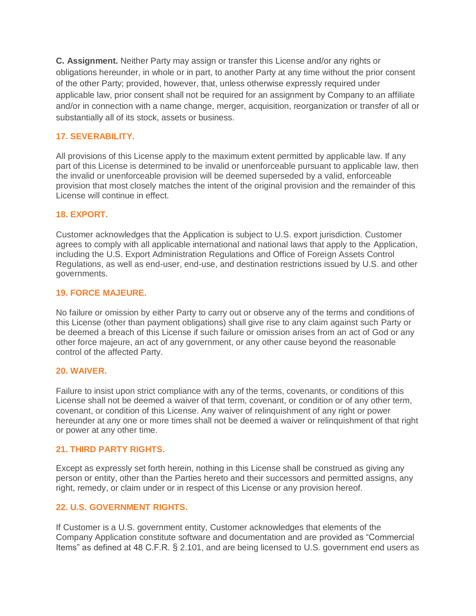**C. Assignment.** Neither Party may assign or transfer this License and/or any rights or obligations hereunder, in whole or in part, to another Party at any time without the prior consent of the other Party; provided, however, that, unless otherwise expressly required under applicable law, prior consent shall not be required for an assignment by Company to an affiliate and/or in connection with a name change, merger, acquisition, reorganization or transfer of all or substantially all of its stock, assets or business.

# **17. SEVERABILITY.**

All provisions of this License apply to the maximum extent permitted by applicable law. If any part of this License is determined to be invalid or unenforceable pursuant to applicable law, then the invalid or unenforceable provision will be deemed superseded by a valid, enforceable provision that most closely matches the intent of the original provision and the remainder of this License will continue in effect.

## **18. EXPORT.**

Customer acknowledges that the Application is subject to U.S. export jurisdiction. Customer agrees to comply with all applicable international and national laws that apply to the Application, including the U.S. Export Administration Regulations and Office of Foreign Assets Control Regulations, as well as end-user, end-use, and destination restrictions issued by U.S. and other governments.

## **19. FORCE MAJEURE.**

No failure or omission by either Party to carry out or observe any of the terms and conditions of this License (other than payment obligations) shall give rise to any claim against such Party or be deemed a breach of this License if such failure or omission arises from an act of God or any other force majeure, an act of any government, or any other cause beyond the reasonable control of the affected Party.

## **20. WAIVER.**

Failure to insist upon strict compliance with any of the terms, covenants, or conditions of this License shall not be deemed a waiver of that term, covenant, or condition or of any other term, covenant, or condition of this License. Any waiver of relinquishment of any right or power hereunder at any one or more times shall not be deemed a waiver or relinquishment of that right or power at any other time.

# **21. THIRD PARTY RIGHTS.**

Except as expressly set forth herein, nothing in this License shall be construed as giving any person or entity, other than the Parties hereto and their successors and permitted assigns, any right, remedy, or claim under or in respect of this License or any provision hereof.

# **22. U.S. GOVERNMENT RIGHTS.**

If Customer is a U.S. government entity, Customer acknowledges that elements of the Company Application constitute software and documentation and are provided as "Commercial Items" as defined at 48 C.F.R. § 2.101, and are being licensed to U.S. government end users as